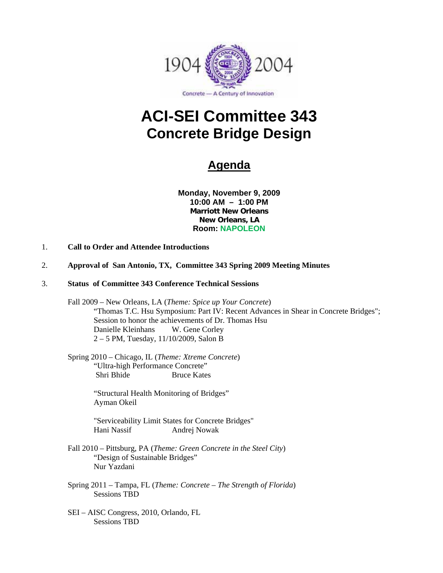

# **ACI-SEI Committee 343 Concrete Bridge Design**

# **Agenda**

**Monday, November 9, 2009 10:00 AM – 1:00 PM Marriott New Orleans New Orleans, LA Room: NAPOLEON** 

- 1. **Call to Order and Attendee Introductions**
- 2. **Approval of San Antonio, TX, Committee 343 Spring 2009 Meeting Minutes**
- 3. **Status of Committee 343 Conference Technical Sessions** 
	- Fall 2009 New Orleans, LA (*Theme: Spice up Your Concrete*) "Thomas T.C. Hsu Symposium: Part IV: Recent Advances in Shear in Concrete Bridges"; Session to honor the achievements of Dr. Thomas Hsu Danielle Kleinhans W. Gene Corley 2 – 5 PM, Tuesday, 11/10/2009, Salon B

 Spring 2010 – Chicago, IL (*Theme: Xtreme Concrete*) "Ultra-high Performance Concrete" Shri Bhide Bruce Kates

> "Structural Health Monitoring of Bridges" Ayman Okeil

"Serviceability Limit States for Concrete Bridges" Hani Nassif Andrej Nowak

- Fall 2010 Pittsburg, PA (*Theme: Green Concrete in the Steel City*) "Design of Sustainable Bridges" Nur Yazdani
- Spring 2011 Tampa, FL (*Theme: Concrete The Strength of Florida*) Sessions TBD
- SEI AISC Congress, 2010, Orlando, FL Sessions TBD